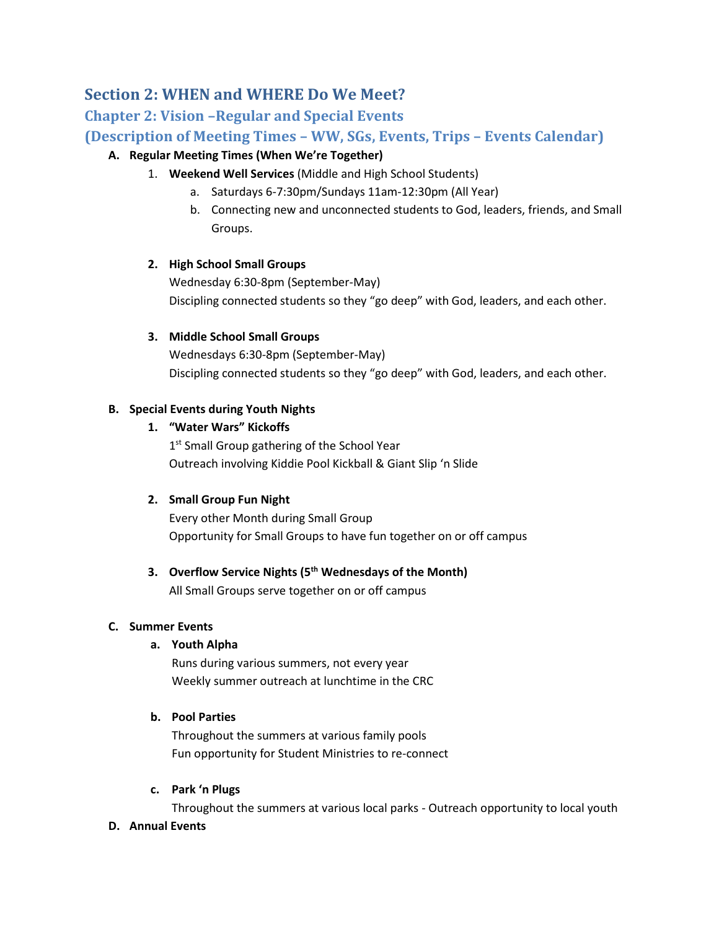# **Section 2: WHEN and WHERE Do We Meet?**

## **Chapter 2: Vision –Regular and Special Events**

## **(Description of Meeting Times – WW, SGs, Events, Trips – Events Calendar)**

## **A. Regular Meeting Times (When We're Together)**

- 1. **Weekend Well Services** (Middle and High School Students)
	- a. Saturdays 6-7:30pm/Sundays 11am-12:30pm (All Year)
	- b. Connecting new and unconnected students to God, leaders, friends, and Small Groups.

## **2. High School Small Groups**

Wednesday 6:30-8pm (September-May) Discipling connected students so they "go deep" with God, leaders, and each other.

## **3. Middle School Small Groups**

Wednesdays 6:30-8pm (September-May) Discipling connected students so they "go deep" with God, leaders, and each other.

## **B. Special Events during Youth Nights**

## **1. "Water Wars" Kickoffs**

1<sup>st</sup> Small Group gathering of the School Year Outreach involving Kiddie Pool Kickball & Giant Slip 'n Slide

## **2. Small Group Fun Night**

Every other Month during Small Group Opportunity for Small Groups to have fun together on or off campus

## **3. Overflow Service Nights (5th Wednesdays of the Month)**

All Small Groups serve together on or off campus

## **C. Summer Events**

## **a. Youth Alpha**

Runs during various summers, not every year Weekly summer outreach at lunchtime in the CRC

## **b. Pool Parties**

Throughout the summers at various family pools Fun opportunity for Student Ministries to re-connect

## **c. Park 'n Plugs**

Throughout the summers at various local parks - Outreach opportunity to local youth

#### **D. Annual Events**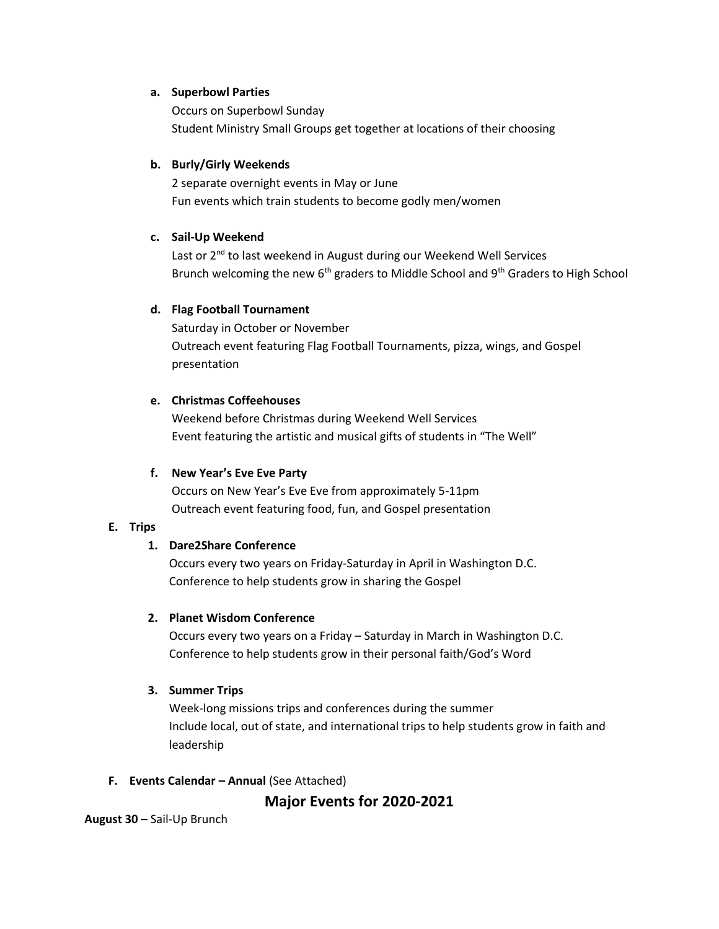#### **a. Superbowl Parties**

Occurs on Superbowl Sunday Student Ministry Small Groups get together at locations of their choosing

#### **b. Burly/Girly Weekends**

2 separate overnight events in May or June Fun events which train students to become godly men/women

#### **c. Sail-Up Weekend**

Last or 2<sup>nd</sup> to last weekend in August during our Weekend Well Services Brunch welcoming the new 6<sup>th</sup> graders to Middle School and 9<sup>th</sup> Graders to High School

#### **d. Flag Football Tournament**

Saturday in October or November Outreach event featuring Flag Football Tournaments, pizza, wings, and Gospel presentation

#### **e. Christmas Coffeehouses**

Weekend before Christmas during Weekend Well Services Event featuring the artistic and musical gifts of students in "The Well"

#### **f. New Year's Eve Eve Party**

Occurs on New Year's Eve Eve from approximately 5-11pm Outreach event featuring food, fun, and Gospel presentation

#### **E. Trips**

#### **1. Dare2Share Conference**

Occurs every two years on Friday-Saturday in April in Washington D.C. Conference to help students grow in sharing the Gospel

#### **2. Planet Wisdom Conference**

Occurs every two years on a Friday – Saturday in March in Washington D.C. Conference to help students grow in their personal faith/God's Word

#### **3. Summer Trips**

Week-long missions trips and conferences during the summer Include local, out of state, and international trips to help students grow in faith and leadership

**F. Events Calendar – Annual** (See Attached)

**Major Events for 2020-2021**

**August 30 –** Sail-Up Brunch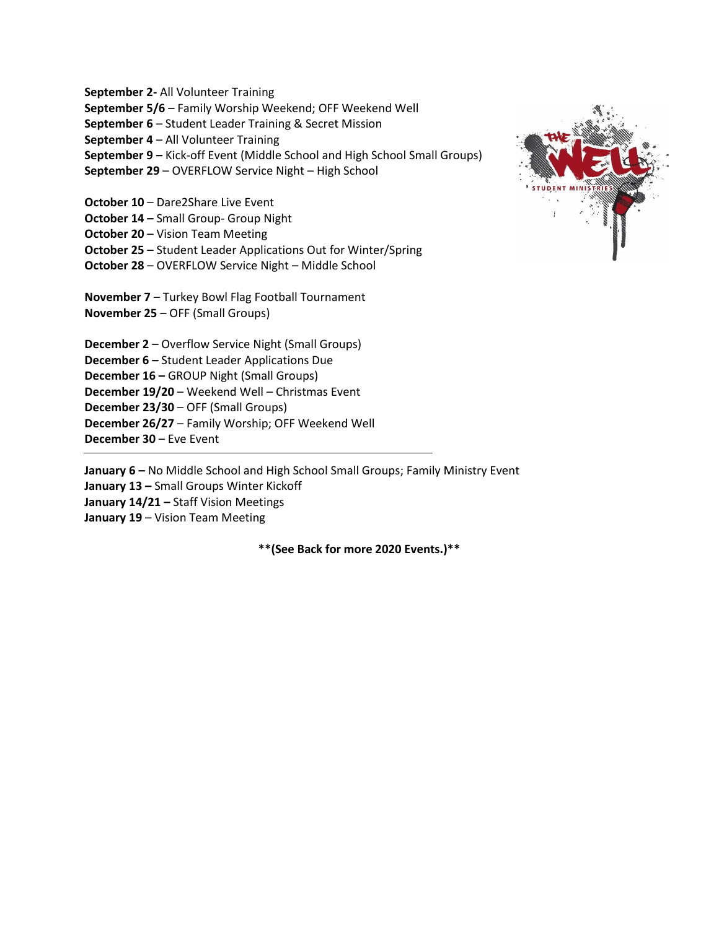**September 2-** All Volunteer Training **September 5/6** – Family Worship Weekend; OFF Weekend Well **September 6** – Student Leader Training & Secret Mission **September 4** – All Volunteer Training **September 9 –** Kick-off Event (Middle School and High School Small Groups) **September 29** – OVERFLOW Service Night – High School **October 10** – Dare2Share Live Event **October 14 –** Small Group- Group Night **October 20** – Vision Team Meeting **October 25** – Student Leader Applications Out for Winter/Spring **October 28** – OVERFLOW Service Night – Middle School **November 7** – Turkey Bowl Flag Football Tournament **November 25** – OFF (Small Groups) **December 2** – Overflow Service Night (Small Groups) **December 6 –** Student Leader Applications Due **December 16 –** GROUP Night (Small Groups) **December 19/20** – Weekend Well – Christmas Event **December 23/30** – OFF (Small Groups) **December 26/27** – Family Worship; OFF Weekend Well **December 30** – Eve Event



**January 6 –** No Middle School and High School Small Groups; Family Ministry Event **January 13 –** Small Groups Winter Kickoff **January 14/21 –** Staff Vision Meetings **January 19** – Vision Team Meeting

**\*\*(See Back for more 2020 Events.)\*\***